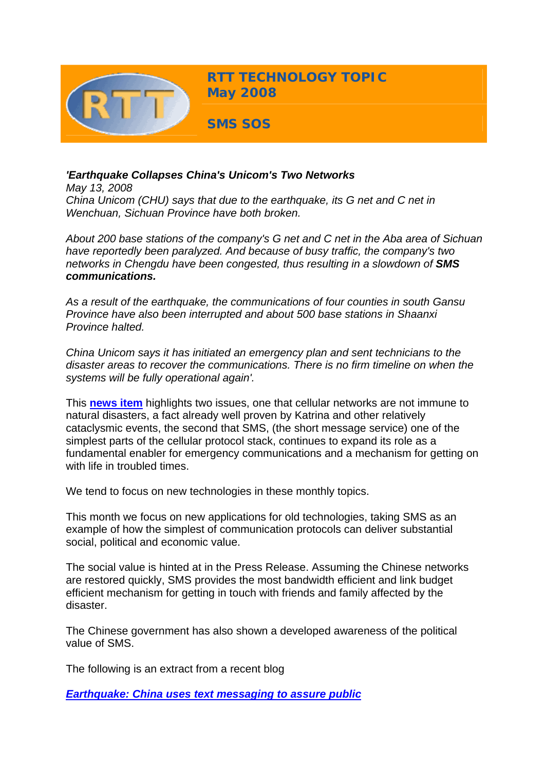

## *'Earthquake Collapses China's Unicom's Two Networks*

*May 13, 2008 China Unicom (CHU) says that due to the earthquake, its G net and C net in Wenchuan, Sichuan Province have both broken.*

*About 200 base stations of the company's G net and C net in the Aba area of Sichuan have reportedly been paralyzed. And because of busy traffic, the company's two networks in Chengdu have been congested, thus resulting in a slowdown of SMS communications.*

*As a result of the earthquake, the communications of four counties in south Gansu Province have also been interrupted and about 500 base stations in Shaanxi Province halted.* 

*China Unicom says it has initiated an emergency plan and sent technicians to the disaster areas to recover the communications. There is no firm timeline on when the systems will be fully operational again'.*

This **[news item](http://www.chinatechnews.com/2008/05/13/6735-earthquake-collapses-chinas-unicoms-two-networks/)** highlights two issues, one that cellular networks are not immune to natural disasters, a fact already well proven by Katrina and other relatively cataclysmic events, the second that SMS, (the short message service) one of the simplest parts of the cellular protocol stack, continues to expand its role as a fundamental enabler for emergency communications and a mechanism for getting on with life in troubled times.

We tend to focus on new technologies in these monthly topics.

This month we focus on new applications for old technologies, taking SMS as an example of how the simplest of communication protocols can deliver substantial social, political and economic value.

The social value is hinted at in the Press Release. Assuming the Chinese networks are restored quickly, SMS provides the most bandwidth efficient and link budget efficient mechanism for getting in touch with friends and family affected by the disaster.

The Chinese government has also shown a developed awareness of the political value of SMS.

The following is an extract from a recent blog

*[Earthquake: China uses text messaging to assure public](http://blog.foreignpolicy.com/node/8831)*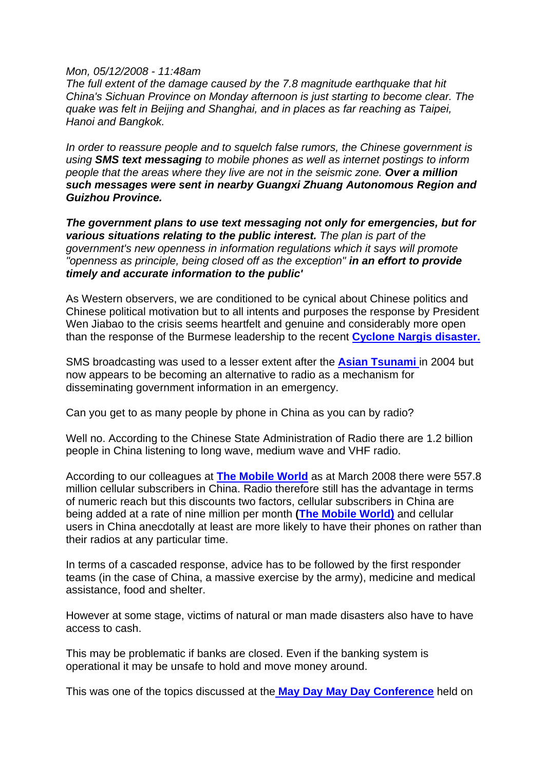## *Mon, 05/12/2008 - 11:48am*

*The full extent of the damage caused by the 7.8 magnitude earthquake that hit China's Sichuan Province on Monday afternoon is just starting to become clear. The quake was felt in Beijing and Shanghai, and in places as far reaching as Taipei, Hanoi and Bangkok.*

*In order to reassure people and to squelch false rumors, the Chinese government is using SMS text messaging to mobile phones as well as internet postings to inform people that the areas where they live are not in the seismic zone. Over a million such messages were sent in nearby Guangxi Zhuang Autonomous Region and Guizhou Province.*

*The government plans to use text messaging not only for emergencies, but for various situations relating to the public interest. The plan is part of the government's new openness in information regulations which it says will promote "openness as principle, being closed off as the exception" in an effort to provide timely and accurate information to the public'*

As Western observers, we are conditioned to be cynical about Chinese politics and Chinese political motivation but to all intents and purposes the response by President Wen Jiabao to the crisis seems heartfelt and genuine and considerably more open than the response of the Burmese leadership to the recent **[Cyclone Nargis disaster.](http://abcnews.go.com/Technology/Weather/story?id=4806331&page=1)**

SMS broadcasting was used to a lesser extent after the **[Asian Tsunami](http://news.bbc.co.uk/1/hi/world/4136289.stm)** in 2004 but now appears to be becoming an alternative to radio as a mechanism for disseminating government information in an emergency.

Can you get to as many people by phone in China as you can by radio?

Well no. According to the Chinese State Administration of Radio there are 1.2 billion people in China listening to long wave, medium wave and VHF radio.

According to our colleagues at **[The Mobile World](http://www.themobileworld.com/tmwdev/Q4smartSite.dll/wrapper)** as at March 2008 there were 557.8 million cellular subscribers in China. Radio therefore still has the advantage in terms of numeric reach but this discounts two factors, cellular subscribers in China are being added at a rate of nine million per month **([The Mobile World\)](http://www.themobileworld.com/tmwdev/Q4smartSite.dll/wrapper)** and cellular users in China anecdotally at least are more likely to have their phones on rather than their radios at any particular time.

In terms of a cascaded response, advice has to be followed by the first responder teams (in the case of China, a massive exercise by the army), medicine and medical assistance, food and shelter.

However at some stage, victims of natural or man made disasters also have to have access to cash.

This may be problematic if banks are closed. Even if the banking system is operational it may be unsafe to hold and move money around.

This was one of the topics discussed at the **[May Day May Day Conference](http://www.cambridgewireless.co.uk/sigs/widefuture/)** held on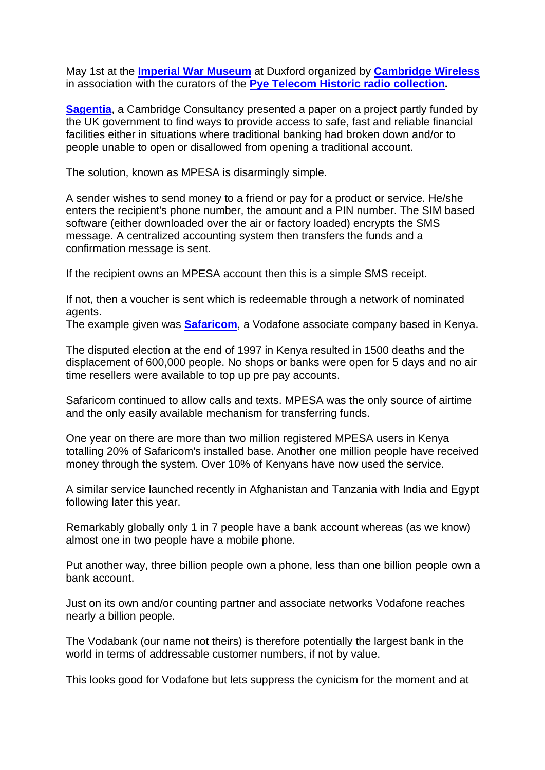May 1st at the **[Imperial War Museum](http://duxford.iwm.org.uk/)** at Duxford organized by **[Cambridge Wireless](http://www.cambridgewireless.co.uk/)** in association with the curators of the **[Pye Telecom Historic radio collection](http://www.pyetelecomhistory.org/).** 

**[Sagentia](http://www.sagentia.com/)**, a Cambridge Consultancy presented a paper on a project partly funded by the UK government to find ways to provide access to safe, fast and reliable financial facilities either in situations where traditional banking had broken down and/or to people unable to open or disallowed from opening a traditional account.

The solution, known as MPESA is disarmingly simple.

A sender wishes to send money to a friend or pay for a product or service. He/she enters the recipient's phone number, the amount and a PIN number. The SIM based software (either downloaded over the air or factory loaded) encrypts the SMS message. A centralized accounting system then transfers the funds and a confirmation message is sent.

If the recipient owns an MPESA account then this is a simple SMS receipt.

If not, then a voucher is sent which is redeemable through a network of nominated agents.

The example given was **[Safaricom](http://www.safaricom.co.ke/index.php?id=228)**, a Vodafone associate company based in Kenya.

The disputed election at the end of 1997 in Kenya resulted in 1500 deaths and the displacement of 600,000 people. No shops or banks were open for 5 days and no air time resellers were available to top up pre pay accounts.

Safaricom continued to allow calls and texts. MPESA was the only source of airtime and the only easily available mechanism for transferring funds.

One year on there are more than two million registered MPESA users in Kenya totalling 20% of Safaricom's installed base. Another one million people have received money through the system. Over 10% of Kenyans have now used the service.

A similar service launched recently in Afghanistan and Tanzania with India and Egypt following later this year.

Remarkably globally only 1 in 7 people have a bank account whereas (as we know) almost one in two people have a mobile phone.

Put another way, three billion people own a phone, less than one billion people own a bank account.

Just on its own and/or counting partner and associate networks Vodafone reaches nearly a billion people.

The Vodabank (our name not theirs) is therefore potentially the largest bank in the world in terms of addressable customer numbers, if not by value.

This looks good for Vodafone but lets suppress the cynicism for the moment and at